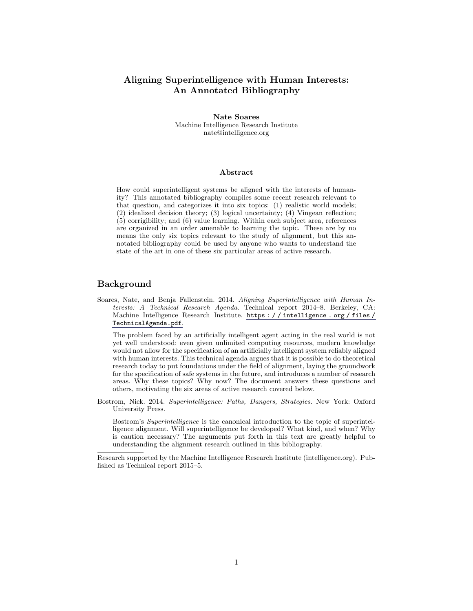# Aligning Superintelligence with Human Interests: An Annotated Bibliography

Nate Soares Machine Intelligence Research Institute nate@intelligence.org

#### Abstract

How could superintelligent systems be aligned with the interests of humanity? This annotated bibliography compiles some recent research relevant to that question, and categorizes it into six topics: (1) realistic world models; (2) idealized decision theory; (3) logical uncertainty; (4) Vingean reflection; (5) corrigibility; and (6) value learning. Within each subject area, references are organized in an order amenable to learning the topic. These are by no means the only six topics relevant to the study of alignment, but this annotated bibliography could be used by anyone who wants to understand the state of the art in one of these six particular areas of active research.

# Background

Soares, Nate, and Benja Fallenstein. 2014. Aligning Superintelligence with Human Interests: A Technical Research Agenda. Technical report 2014–8. Berkeley, CA: Machine Intelligence Research Institute. [https : / / intelligence . org / files /](https://intelligence.org/files/TechnicalAgenda.pdf) [TechnicalAgenda.pdf](https://intelligence.org/files/TechnicalAgenda.pdf).

The problem faced by an artificially intelligent agent acting in the real world is not yet well understood: even given unlimited computing resources, modern knowledge would not allow for the specification of an artificially intelligent system reliably aligned with human interests. This technical agenda argues that it is possible to do theoretical research today to put foundations under the field of alignment, laying the groundwork for the specification of safe systems in the future, and introduces a number of research areas. Why these topics? Why now? The document answers these questions and others, motivating the six areas of active research covered below.

Bostrom, Nick. 2014. Superintelligence: Paths, Dangers, Strategies. New York: Oxford University Press.

Bostrom's Superintelligence is the canonical introduction to the topic of superintelligence alignment. Will superintelligence be developed? What kind, and when? Why is caution necessary? The arguments put forth in this text are greatly helpful to understanding the alignment research outlined in this bibliography.

Research supported by the Machine Intelligence Research Institute (intelligence.org). Published as Technical report 2015–5.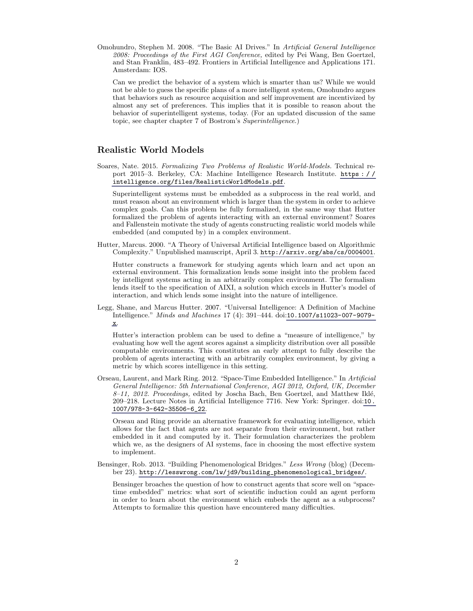Omohundro, Stephen M. 2008. "The Basic AI Drives." In Artificial General Intelligence 2008: Proceedings of the First AGI Conference, edited by Pei Wang, Ben Goertzel, and Stan Franklin, 483–492. Frontiers in Artificial Intelligence and Applications 171. Amsterdam: IOS.

Can we predict the behavior of a system which is smarter than us? While we would not be able to guess the specific plans of a more intelligent system, Omohundro argues that behaviors such as resource acquisition and self improvement are incentivized by almost any set of preferences. This implies that it is possible to reason about the behavior of superintelligent systems, today. (For an updated discussion of the same topic, see chapter chapter 7 of Bostrom's Superintelligence.)

#### Realistic World Models

Soares, Nate. 2015. Formalizing Two Problems of Realistic World-Models. Technical report 2015–3. Berkeley, CA: Machine Intelligence Research Institute. [https : / /](https://intelligence.org/files/RealisticWorldModels.pdf) [intelligence.org/files/RealisticWorldModels.pdf](https://intelligence.org/files/RealisticWorldModels.pdf).

Superintelligent systems must be embedded as a subprocess in the real world, and must reason about an environment which is larger than the system in order to achieve complex goals. Can this problem be fully formalized, in the same way that Hutter formalized the problem of agents interacting with an external environment? Soares and Fallenstein motivate the study of agents constructing realistic world models while embedded (and computed by) in a complex environment.

Hutter, Marcus. 2000. "A Theory of Universal Artificial Intelligence based on Algorithmic Complexity." Unpublished manuscript, April 3. <http://arxiv.org/abs/cs/0004001>.

Hutter constructs a framework for studying agents which learn and act upon an external environment. This formalization lends some insight into the problem faced by intelligent systems acting in an arbitrarily complex environment. The formalism lends itself to the specification of AIXI, a solution which excels in Hutter's model of interaction, and which lends some insight into the nature of intelligence.

Legg, Shane, and Marcus Hutter. 2007. "Universal Intelligence: A Definition of Machine Intelligence." Minds and Machines 17 (4): 391–444. doi:[10.1007/s11023-007-9079](http://dx.doi.org/10.1007/s11023-007-9079-x) [x](http://dx.doi.org/10.1007/s11023-007-9079-x).

Hutter's interaction problem can be used to define a "measure of intelligence," by evaluating how well the agent scores against a simplicity distribution over all possible computable environments. This constitutes an early attempt to fully describe the problem of agents interacting with an arbitrarily complex environment, by giving a metric by which scores intelligence in this setting.

Orseau, Laurent, and Mark Ring. 2012. "Space-Time Embedded Intelligence." In Artificial General Intelligence: 5th International Conference, AGI 2012, Oxford, UK, December  $8-11$ , 2012. Proceedings, edited by Joscha Bach, Ben Goertzel, and Matthew Iklé, 209–218. Lecture Notes in Artificial Intelligence 7716. New York: Springer. doi:[10.](http://dx.doi.org/10.1007/978-3-642-35506-6_22) [1007/978-3-642-35506-6\\_22](http://dx.doi.org/10.1007/978-3-642-35506-6_22).

Orseau and Ring provide an alternative framework for evaluating intelligence, which allows for the fact that agents are not separate from their environment, but rather embedded in it and computed by it. Their formulation characterizes the problem which we, as the designers of AI systems, face in choosing the most effective system to implement.

Bensinger, Rob. 2013. "Building Phenomenological Bridges." Less Wrong (blog) (December 23). [http://lesswrong.com/lw/jd9/building\\_phenomenological\\_bridges/](http://lesswrong.com/lw/jd9/building_phenomenological_bridges/).

Bensinger broaches the question of how to construct agents that score well on "spacetime embedded" metrics: what sort of scientific induction could an agent perform in order to learn about the environment which embeds the agent as a subprocess? Attempts to formalize this question have encountered many difficulties.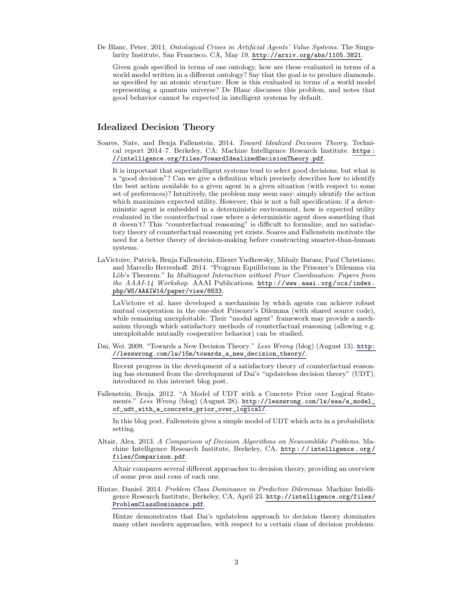De Blanc, Peter. 2011. Ontological Crises in Artificial Agents' Value Systems. The Singularity Institute, San Francisco, CA, May 19. <http://arxiv.org/abs/1105.3821>.

Given goals specified in terms of one ontology, how are these evaluated in terms of a world model written in a different ontology? Say that the goal is to produce diamonds, as specified by an atomic structure. How is this evaluated in terms of a world model representing a quantum universe? De Blanc discusses this problem, and notes that good behavior cannot be expected in intelligent systems by default.

# Idealized Decision Theory

Soares, Nate, and Benja Fallenstein. 2014. Toward Idealized Decision Theory. Technical report 2014–7. Berkeley, CA: Machine Intelligence Research Institute. [https :](https://intelligence.org/files/TowardIdealizedDecisionTheory.pdf) [//intelligence.org/files/TowardIdealizedDecisionTheory.pdf](https://intelligence.org/files/TowardIdealizedDecisionTheory.pdf).

It is important that superintelligent systems tend to select good decisions, but what is a "good decision"? Can we give a definition which precisely describes how to identify the best action available to a given agent in a given situation (with respect to some set of preferences)? Intuitively, the problem may seem easy: simply identify the action which maximizes expected utility. However, this is not a full specification: if a deterministic agent is embedded in a deterministic environment, how is expected utility evaluated in the counterfactual case where a deterministic agent does something that it doesn't? This "counterfactual reasoning" is difficult to formalize, and no satisfactory theory of counterfactual reasoning yet exists. Soares and Fallenstein motivate the need for a better theory of decision-making before constructing smarter-than-human systems.

LaVictoire, Patrick, Benja Fallenstein, Eliezer Yudkowsky, Mihaly Barasz, Paul Christiano, and Marcello Herreshoff. 2014. "Program Equilibrium in the Prisoner's Dilemma via Löb's Theorem." In Multiagent Interaction without Prior Coordination: Papers from the AAAI-14 Workshop. AAAI Publications. [http://www.aaai.org/ocs/index.](http://www.aaai.org/ocs/index.php/WS/AAAIW14/paper/view/8833) [php/WS/AAAIW14/paper/view/8833](http://www.aaai.org/ocs/index.php/WS/AAAIW14/paper/view/8833).

LaVictoire et al. have developed a mechanism by which agents can achieve robust mutual cooperation in the one-shot Prisoner's Dilemma (with shared source code), while remaining unexploitable. Their "modal agent" framework may provide a mechanism through which satisfactory methods of counterfactual reasoning (allowing e.g. unexploitable mutually cooperative behavior) can be studied.

Dai, Wei. 2009. "Towards a New Decision Theory." Less Wrong (blog) (August 13). [http:](http://lesswrong.com/lw/15m/towards_a_new_decision_theory/) [//lesswrong.com/lw/15m/towards\\_a\\_new\\_decision\\_theory/](http://lesswrong.com/lw/15m/towards_a_new_decision_theory/).

Recent progress in the development of a satisfactory theory of counterfactual reasoning has stemmed from the development of Dai's "updateless decision theory" (UDT), introduced in this internet blog post.

Fallenstein, Benja. 2012. "A Model of UDT with a Concrete Prior over Logical Statements." Less Wrong (blog) (August 28). [http://lesswrong.com/lw/eaa/a\\_model\\_](http://lesswrong.com/lw/eaa/a_model_of_udt_with_a_concrete_prior_over_logical/) [of\\_udt\\_with\\_a\\_concrete\\_prior\\_over\\_logical/](http://lesswrong.com/lw/eaa/a_model_of_udt_with_a_concrete_prior_over_logical/).

In this blog post, Fallenstein gives a simple model of UDT which acts in a probabilistic setting.

Altair, Alex. 2013. A Comparison of Decision Algorithms on Newcomblike Problems. Machine Intelligence Research Institute, Berkeley, CA. [http : / / intelligence . org /](http://intelligence.org/files/Comparison.pdf) [files/Comparison.pdf](http://intelligence.org/files/Comparison.pdf).

Altair compares several different approaches to decision theory, providing an overview of some pros and cons of each one.

Hintze, Daniel. 2014. Problem Class Dominance in Predictive Dilemmas. Machine Intelligence Research Institute, Berkeley, CA, April 23. [http://intelligence.org/files/](http://intelligence.org/files/ProblemClassDominance.pdf) [ProblemClassDominance.pdf](http://intelligence.org/files/ProblemClassDominance.pdf).

Hintze demonstrates that Dai's updateless approach to decision theory dominates many other modern approaches, with respect to a certain class of decision problems.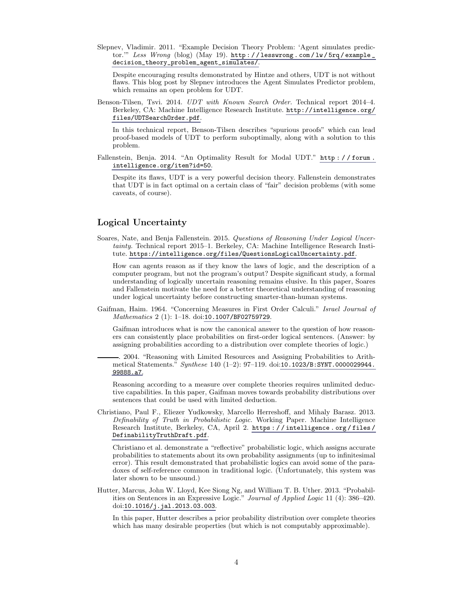Slepnev, Vladimir. 2011. "Example Decision Theory Problem: 'Agent simulates predictor."" Less Wrong (blog) (May 19). http://lesswrong.com/lw/5rq/example\_ [decision\\_theory\\_problem\\_agent\\_simulates/](http://lesswrong.com/lw/5rq/example_decision_theory_problem_agent_simulates/).

Despite encouraging results demonstrated by Hintze and others, UDT is not without flaws. This blog post by Slepnev introduces the Agent Simulates Predictor problem, which remains an open problem for UDT.

Benson-Tilsen, Tsvi. 2014. UDT with Known Search Order. Technical report 2014–4. Berkeley, CA: Machine Intelligence Research Institute. [http://intelligence.org/](http://intelligence.org/files/UDTSearchOrder.pdf) [files/UDTSearchOrder.pdf](http://intelligence.org/files/UDTSearchOrder.pdf).

In this technical report, Benson-Tilsen describes "spurious proofs" which can lead proof-based models of UDT to perform suboptimally, along with a solution to this problem.

Fallenstein, Benja. 2014. "An Optimality Result for Modal UDT." http://forum. [intelligence.org/item?id=50](http://forum.intelligence.org/item?id=50).

Despite its flaws, UDT is a very powerful decision theory. Fallenstein demonstrates that UDT is in fact optimal on a certain class of "fair" decision problems (with some caveats, of course).

#### Logical Uncertainty

Soares, Nate, and Benja Fallenstein. 2015. Questions of Reasoning Under Logical Uncertainty. Technical report 2015–1. Berkeley, CA: Machine Intelligence Research Institute. <https://intelligence.org/files/QuestionsLogicalUncertainty.pdf>.

How can agents reason as if they know the laws of logic, and the description of a computer program, but not the program's output? Despite significant study, a formal understanding of logically uncertain reasoning remains elusive. In this paper, Soares and Fallenstein motivate the need for a better theoretical understanding of reasoning under logical uncertainty before constructing smarter-than-human systems.

Gaifman, Haim. 1964. "Concerning Measures in First Order Calculi." Israel Journal of Mathematics 2 (1): 1–18. doi:[10.1007/BF02759729](http://dx.doi.org/10.1007/BF02759729).

Gaifman introduces what is now the canonical answer to the question of how reasoners can consistently place probabilities on first-order logical sentences. (Answer: by assigning probabilities according to a distribution over complete theories of logic.)

. 2004. "Reasoning with Limited Resources and Assigning Probabilities to Arithmetical Statements." Synthese 140 (1–2): 97–119. doi:[10.1023/B:SYNT.0000029944.](http://dx.doi.org/10.1023/B:SYNT.0000029944.99888.a7) [99888.a7](http://dx.doi.org/10.1023/B:SYNT.0000029944.99888.a7).

Reasoning according to a measure over complete theories requires unlimited deductive capabilities. In this paper, Gaifman moves towards probability distributions over sentences that could be used with limited deduction.

Christiano, Paul F., Eliezer Yudkowsky, Marcello Herreshoff, and Mihaly Barasz. 2013. Definability of Truth in Probabilistic Logic. Working Paper. Machine Intelligence Research Institute, Berkeley, CA, April 2. [https : / / intelligence . org / files /](https://intelligence.org/files/DefinabilityTruthDraft.pdf) [DefinabilityTruthDraft.pdf](https://intelligence.org/files/DefinabilityTruthDraft.pdf).

Christiano et al. demonstrate a "reflective" probabilistic logic, which assigns accurate probabilities to statements about its own probability assignments (up to infinitesimal error). This result demonstrated that probabilistic logics can avoid some of the paradoxes of self-reference common in traditional logic. (Unfortunately, this system was later shown to be unsound.)

Hutter, Marcus, John W. Lloyd, Kee Siong Ng, and William T. B. Uther. 2013. "Probabilities on Sentences in an Expressive Logic." Journal of Applied Logic 11 (4): 386–420. doi:[10.1016/j.jal.2013.03.003](http://dx.doi.org/10.1016/j.jal.2013.03.003).

In this paper, Hutter describes a prior probability distribution over complete theories which has many desirable properties (but which is not computably approximable).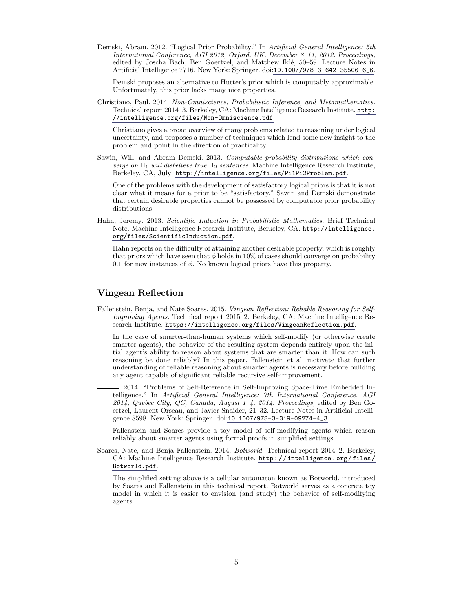Demski, Abram. 2012. "Logical Prior Probability." In Artificial General Intelligence: 5th International Conference, AGI 2012, Oxford, UK, December 8–11, 2012. Proceedings, edited by Joscha Bach, Ben Goertzel, and Matthew Iklé, 50–59. Lecture Notes in Artificial Intelligence 7716. New York: Springer. doi:[10.1007/978-3-642-35506-6\\_6](http://dx.doi.org/10.1007/978-3-642-35506-6_6).

Demski proposes an alternative to Hutter's prior which is computably approximable. Unfortunately, this prior lacks many nice properties.

Christiano, Paul. 2014. Non-Omniscience, Probabilistic Inference, and Metamathematics. Technical report 2014–3. Berkeley, CA: Machine Intelligence Research Institute. [http:](http://intelligence.org/files/Non-Omniscience.pdf) [//intelligence.org/files/Non-Omniscience.pdf](http://intelligence.org/files/Non-Omniscience.pdf).

Christiano gives a broad overview of many problems related to reasoning under logical uncertainty, and proposes a number of techniques which lend some new insight to the problem and point in the direction of practicality.

Sawin, Will, and Abram Demski. 2013. Computable probability distributions which converge on  $\Pi_1$  will disbelieve true  $\Pi_2$  sentences. Machine Intelligence Research Institute, Berkeley, CA, July. <http://intelligence.org/files/Pi1Pi2Problem.pdf>.

One of the problems with the development of satisfactory logical priors is that it is not clear what it means for a prior to be "satisfactory." Sawin and Demski demonstrate that certain desirable properties cannot be possessed by computable prior probability distributions.

Hahn, Jeremy. 2013. Scientific Induction in Probabilistic Mathematics. Brief Technical Note. Machine Intelligence Research Institute, Berkeley, CA. [http://intelligence.](http://intelligence.org/files/ScientificInduction.pdf) [org/files/ScientificInduction.pdf](http://intelligence.org/files/ScientificInduction.pdf).

Hahn reports on the difficulty of attaining another desirable property, which is roughly that priors which have seen that  $\phi$  holds in 10% of cases should converge on probability 0.1 for new instances of  $\phi$ . No known logical priors have this property.

# Vingean Reflection

Fallenstein, Benja, and Nate Soares. 2015. Vingean Reflection: Reliable Reasoning for Self-Improving Agents. Technical report 2015–2. Berkeley, CA: Machine Intelligence Research Institute. <https://intelligence.org/files/VingeanReflection.pdf>.

In the case of smarter-than-human systems which self-modify (or otherwise create smarter agents), the behavior of the resulting system depends entirely upon the initial agent's ability to reason about systems that are smarter than it. How can such reasoning be done reliably? In this paper, Fallenstein et al. motivate that further understanding of reliable reasoning about smarter agents is necessary before building any agent capable of significant reliable recursive self-improvement.

. 2014. "Problems of Self-Reference in Self-Improving Space-Time Embedded Intelligence." In Artificial General Intelligence: 7th International Conference, AGI 2014, Quebec City, QC, Canada, August  $1-\frac{1}{4}$ , 2014. Proceedings, edited by Ben Goertzel, Laurent Orseau, and Javier Snaider, 21–32. Lecture Notes in Artificial Intelligence 8598. New York: Springer. doi:[10.1007/978-3-319-09274-4\\_3](http://dx.doi.org/10.1007/978-3-319-09274-4_3).

Fallenstein and Soares provide a toy model of self-modifying agents which reason reliably about smarter agents using formal proofs in simplified settings.

Soares, Nate, and Benja Fallenstein. 2014. Botworld. Technical report 2014–2. Berkeley, CA: Machine Intelligence Research Institute. [http : / / intelligence . org / files /](http://intelligence.org/files/Botworld.pdf) [Botworld.pdf](http://intelligence.org/files/Botworld.pdf).

The simplified setting above is a cellular automaton known as Botworld, introduced by Soares and Fallenstein in this technical report. Botworld serves as a concrete toy model in which it is easier to envision (and study) the behavior of self-modifying agents.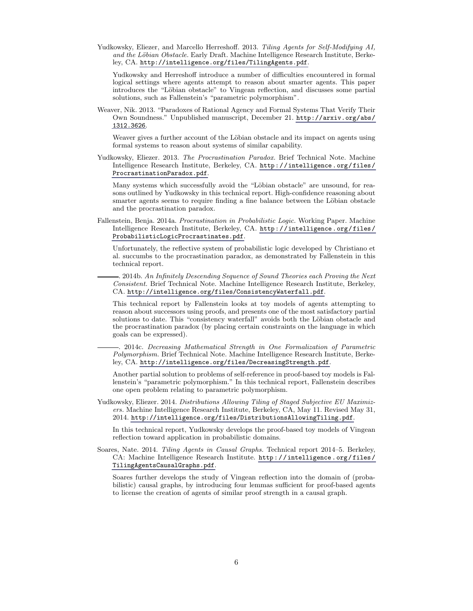Yudkowsky, Eliezer, and Marcello Herreshoff. 2013. Tiling Agents for Self-Modifying AI, and the Löbian Obstacle. Early Draft. Machine Intelligence Research Institute, Berkeley, CA. <http://intelligence.org/files/TilingAgents.pdf>.

Yudkowsky and Herreshoff introduce a number of difficulties encountered in formal logical settings where agents attempt to reason about smarter agents. This paper introduces the "Löbian obstacle" to Vingean reflection, and discusses some partial solutions, such as Fallenstein's "parametric polymorphism".

Weaver, Nik. 2013. "Paradoxes of Rational Agency and Formal Systems That Verify Their Own Soundness." Unpublished manuscript, December 21. [http://arxiv.org/abs/](http://arxiv.org/abs/1312.3626) [1312.3626](http://arxiv.org/abs/1312.3626).

Weaver gives a further account of the Löbian obstacle and its impact on agents using formal systems to reason about systems of similar capability.

Yudkowsky, Eliezer. 2013. The Procrastination Paradox. Brief Technical Note. Machine Intelligence Research Institute, Berkeley, CA. [http://intelligence.org/files/](http://intelligence.org/files/ProcrastinationParadox.pdf) [ProcrastinationParadox.pdf](http://intelligence.org/files/ProcrastinationParadox.pdf).

Many systems which successfully avoid the "Löbian obstacle" are unsound, for reasons outlined by Yudkowsky in this technical report. High-confidence reasoning about smarter agents seems to require finding a fine balance between the Löbian obstacle and the procrastination paradox.

Fallenstein, Benja. 2014a. Procrastination in Probabilistic Logic. Working Paper. Machine Intelligence Research Institute, Berkeley, CA. [http://intelligence.org/files/](http://intelligence.org/files/ProbabilisticLogicProcrastinates.pdf) [ProbabilisticLogicProcrastinates.pdf](http://intelligence.org/files/ProbabilisticLogicProcrastinates.pdf).

Unfortunately, the reflective system of probabilistic logic developed by Christiano et al. succumbs to the procrastination paradox, as demonstrated by Fallenstein in this technical report.

. 2014b. An Infinitely Descending Sequence of Sound Theories each Proving the Next Consistent. Brief Technical Note. Machine Intelligence Research Institute, Berkeley, CA. <http://intelligence.org/files/ConsistencyWaterfall.pdf>.

This technical report by Fallenstein looks at toy models of agents attempting to reason about successors using proofs, and presents one of the most satisfactory partial solutions to date. This "consistency waterfall" avoids both the Löbian obstacle and the procrastination paradox (by placing certain constraints on the language in which goals can be expressed).

. 2014c. Decreasing Mathematical Strength in One Formalization of Parametric Polymorphism. Brief Technical Note. Machine Intelligence Research Institute, Berkeley, CA. <http://intelligence.org/files/DecreasingStrength.pdf>.

Another partial solution to problems of self-reference in proof-based toy models is Fallenstein's "parametric polymorphism." In this technical report, Fallenstein describes one open problem relating to parametric polymorphism.

Yudkowsky, Eliezer. 2014. Distributions Allowing Tiling of Staged Subjective EU Maximizers. Machine Intelligence Research Institute, Berkeley, CA, May 11. Revised May 31, 2014. <http://intelligence.org/files/DistributionsAllowingTiling.pdf>.

In this technical report, Yudkowsky develops the proof-based toy models of Vingean reflection toward application in probabilistic domains.

Soares, Nate. 2014. Tiling Agents in Causal Graphs. Technical report 2014–5. Berkeley, CA: Machine Intelligence Research Institute. [http : / / intelligence . org / files /](http://intelligence.org/files/TilingAgentsCausalGraphs.pdf) [TilingAgentsCausalGraphs.pdf](http://intelligence.org/files/TilingAgentsCausalGraphs.pdf).

Soares further develops the study of Vingean reflection into the domain of (probabilistic) causal graphs, by introducing four lemmas sufficient for proof-based agents to license the creation of agents of similar proof strength in a causal graph.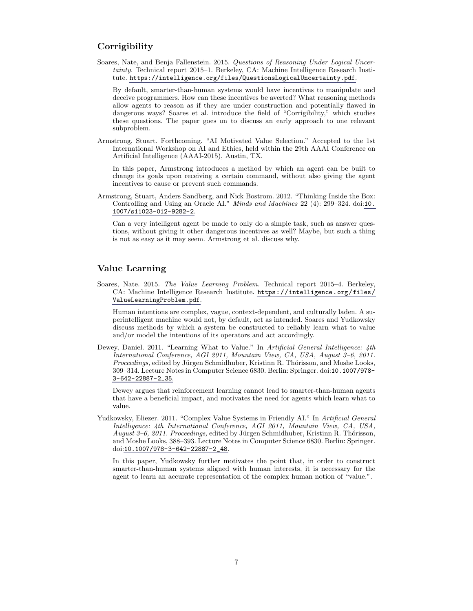## **Corrigibility**

Soares, Nate, and Benja Fallenstein. 2015. Questions of Reasoning Under Logical Uncertainty. Technical report 2015–1. Berkeley, CA: Machine Intelligence Research Institute. <https://intelligence.org/files/QuestionsLogicalUncertainty.pdf>.

By default, smarter-than-human systems would have incentives to manipulate and deceive programmers. How can these incentives be averted? What reasoning methods allow agents to reason as if they are under construction and potentially flawed in dangerous ways? Soares et al. introduce the field of "Corrigibility," which studies these questions. The paper goes on to discuss an early approach to one relevant subproblem.

Armstrong, Stuart. Forthcoming. "AI Motivated Value Selection." Accepted to the 1st International Workshop on AI and Ethics, held within the 29th AAAI Conference on Artificial Intelligence (AAAI-2015), Austin, TX.

In this paper, Armstrong introduces a method by which an agent can be built to change its goals upon receiving a certain command, without also giving the agent incentives to cause or prevent such commands.

Armstrong, Stuart, Anders Sandberg, and Nick Bostrom. 2012. "Thinking Inside the Box: Controlling and Using an Oracle AI." Minds and Machines 22 (4): 299–324. doi:[10.](http://dx.doi.org/10.1007/s11023-012-9282-2) [1007/s11023-012-9282-2](http://dx.doi.org/10.1007/s11023-012-9282-2).

Can a very intelligent agent be made to only do a simple task, such as answer questions, without giving it other dangerous incentives as well? Maybe, but such a thing is not as easy as it may seem. Armstrong et al. discuss why.

#### Value Learning

Soares, Nate. 2015. The Value Learning Problem. Technical report 2015-4. Berkeley, CA: Machine Intelligence Research Institute. [https://intelligence.org/files/](https://intelligence.org/files/ValueLearningProblem.pdf) [ValueLearningProblem.pdf](https://intelligence.org/files/ValueLearningProblem.pdf).

Human intentions are complex, vague, context-dependent, and culturally laden. A superintelligent machine would not, by default, act as intended. Soares and Yudkowsky discuss methods by which a system be constructed to reliably learn what to value and/or model the intentions of its operators and act accordingly.

Dewey, Daniel. 2011. "Learning What to Value." In Artificial General Intelligence: 4th International Conference, AGI 2011, Mountain View, CA, USA, August 3–6, 2011. Proceedings, edited by Jürgen Schmidhuber, Kristinn R. Thórisson, and Moshe Looks, 309–314. Lecture Notes in Computer Science 6830. Berlin: Springer. doi:[10.1007/978-](http://dx.doi.org/10.1007/978-3-642-22887-2_35) [3-642-22887-2\\_35](http://dx.doi.org/10.1007/978-3-642-22887-2_35).

Dewey argues that reinforcement learning cannot lead to smarter-than-human agents that have a beneficial impact, and motivates the need for agents which learn what to value.

Yudkowsky, Eliezer. 2011. "Complex Value Systems in Friendly AI." In Artificial General Intelligence: 4th International Conference, AGI 2011, Mountain View, CA, USA, August  $3-6$ , 2011. Proceedings, edited by Jürgen Schmidhuber, Kristinn R. Thórisson, and Moshe Looks, 388–393. Lecture Notes in Computer Science 6830. Berlin: Springer. doi:[10.1007/978-3-642-22887-2\\_48](http://dx.doi.org/10.1007/978-3-642-22887-2_48).

In this paper, Yudkowsky further motivates the point that, in order to construct smarter-than-human systems aligned with human interests, it is necessary for the agent to learn an accurate representation of the complex human notion of "value.".